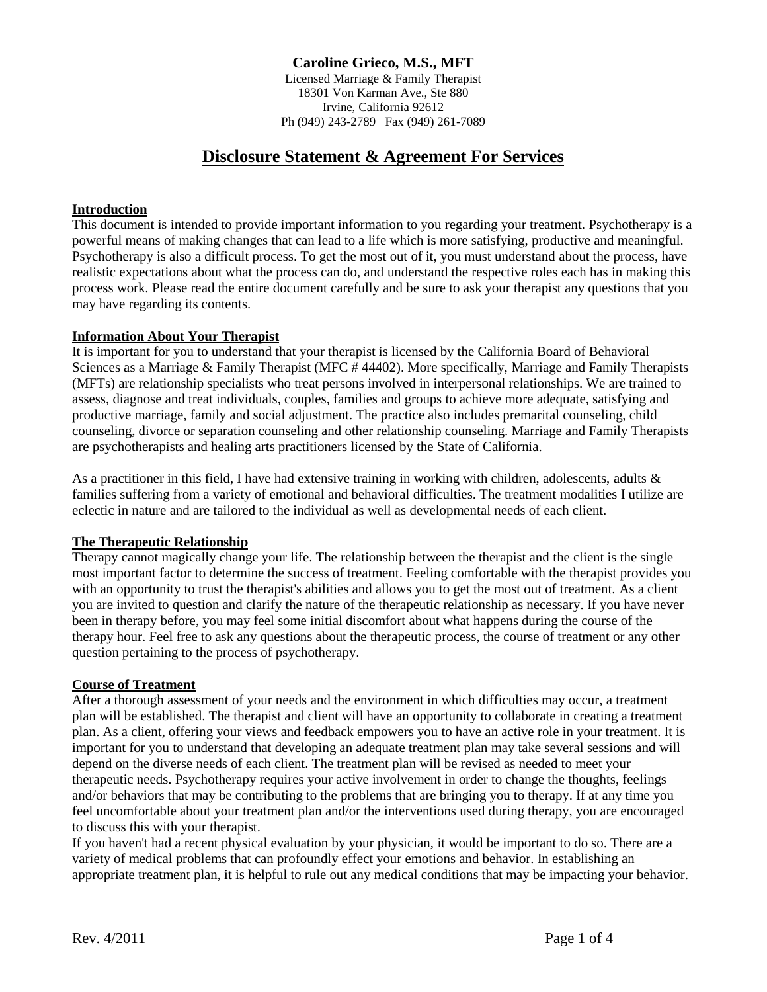# **Caroline Grieco, M.S., MFT**

Licensed Marriage & Family Therapist 18301 Von Karman Ave., Ste 880 Irvine, California 92612 Ph (949) 243-2789 Fax (949) 261-7089

# **Disclosure Statement & Agreement For Services**

#### **Introduction**

This document is intended to provide important information to you regarding your treatment. Psychotherapy is a powerful means of making changes that can lead to a life which is more satisfying, productive and meaningful. Psychotherapy is also a difficult process. To get the most out of it, you must understand about the process, have realistic expectations about what the process can do, and understand the respective roles each has in making this process work. Please read the entire document carefully and be sure to ask your therapist any questions that you may have regarding its contents.

#### **Information About Your Therapist**

It is important for you to understand that your therapist is licensed by the California Board of Behavioral Sciences as a Marriage & Family Therapist (MFC #44402). More specifically, Marriage and Family Therapists (MFTs) are relationship specialists who treat persons involved in interpersonal relationships. We are trained to assess, diagnose and treat individuals, couples, families and groups to achieve more adequate, satisfying and productive marriage, family and social adjustment. The practice also includes premarital counseling, child counseling, divorce or separation counseling and other relationship counseling. Marriage and Family Therapists are psychotherapists and healing arts practitioners licensed by the State of California.

As a practitioner in this field, I have had extensive training in working with children, adolescents, adults & families suffering from a variety of emotional and behavioral difficulties. The treatment modalities I utilize are eclectic in nature and are tailored to the individual as well as developmental needs of each client.

#### **The Therapeutic Relationship**

Therapy cannot magically change your life. The relationship between the therapist and the client is the single most important factor to determine the success of treatment. Feeling comfortable with the therapist provides you with an opportunity to trust the therapist's abilities and allows you to get the most out of treatment. As a client you are invited to question and clarify the nature of the therapeutic relationship as necessary. If you have never been in therapy before, you may feel some initial discomfort about what happens during the course of the therapy hour. Feel free to ask any questions about the therapeutic process, the course of treatment or any other question pertaining to the process of psychotherapy.

#### **Course of Treatment**

After a thorough assessment of your needs and the environment in which difficulties may occur, a treatment plan will be established. The therapist and client will have an opportunity to collaborate in creating a treatment plan. As a client, offering your views and feedback empowers you to have an active role in your treatment. It is important for you to understand that developing an adequate treatment plan may take several sessions and will depend on the diverse needs of each client. The treatment plan will be revised as needed to meet your therapeutic needs. Psychotherapy requires your active involvement in order to change the thoughts, feelings and/or behaviors that may be contributing to the problems that are bringing you to therapy. If at any time you feel uncomfortable about your treatment plan and/or the interventions used during therapy, you are encouraged to discuss this with your therapist.

If you haven't had a recent physical evaluation by your physician, it would be important to do so. There are a variety of medical problems that can profoundly effect your emotions and behavior. In establishing an appropriate treatment plan, it is helpful to rule out any medical conditions that may be impacting your behavior.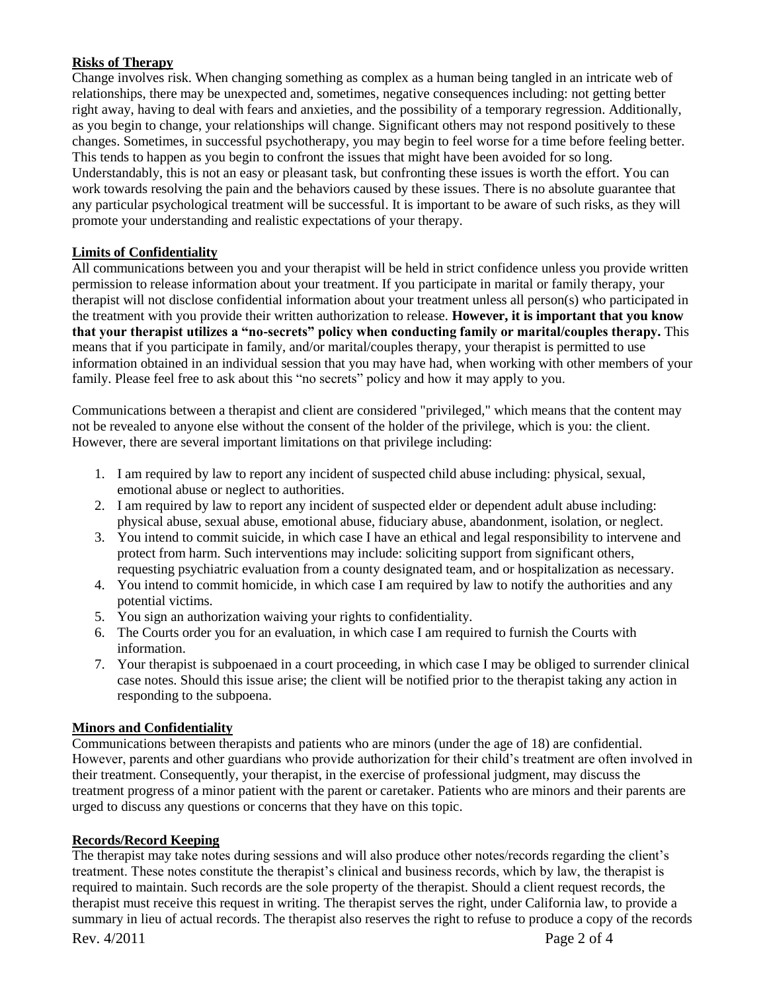## **Risks of Therapy**

Change involves risk. When changing something as complex as a human being tangled in an intricate web of relationships, there may be unexpected and, sometimes, negative consequences including: not getting better right away, having to deal with fears and anxieties, and the possibility of a temporary regression. Additionally, as you begin to change, your relationships will change. Significant others may not respond positively to these changes. Sometimes, in successful psychotherapy, you may begin to feel worse for a time before feeling better. This tends to happen as you begin to confront the issues that might have been avoided for so long. Understandably, this is not an easy or pleasant task, but confronting these issues is worth the effort. You can work towards resolving the pain and the behaviors caused by these issues. There is no absolute guarantee that any particular psychological treatment will be successful. It is important to be aware of such risks, as they will promote your understanding and realistic expectations of your therapy.

## **Limits of Confidentiality**

All communications between you and your therapist will be held in strict confidence unless you provide written permission to release information about your treatment. If you participate in marital or family therapy, your therapist will not disclose confidential information about your treatment unless all person(s) who participated in the treatment with you provide their written authorization to release. **However, it is important that you know that your therapist utilizes a "no-secrets" policy when conducting family or marital/couples therapy.** This means that if you participate in family, and/or marital/couples therapy, your therapist is permitted to use information obtained in an individual session that you may have had, when working with other members of your family. Please feel free to ask about this "no secrets" policy and how it may apply to you.

Communications between a therapist and client are considered "privileged," which means that the content may not be revealed to anyone else without the consent of the holder of the privilege, which is you: the client. However, there are several important limitations on that privilege including:

- 1. I am required by law to report any incident of suspected child abuse including: physical, sexual, emotional abuse or neglect to authorities.
- 2. I am required by law to report any incident of suspected elder or dependent adult abuse including: physical abuse, sexual abuse, emotional abuse, fiduciary abuse, abandonment, isolation, or neglect.
- 3. You intend to commit suicide, in which case I have an ethical and legal responsibility to intervene and protect from harm. Such interventions may include: soliciting support from significant others, requesting psychiatric evaluation from a county designated team, and or hospitalization as necessary.
- 4. You intend to commit homicide, in which case I am required by law to notify the authorities and any potential victims.
- 5. You sign an authorization waiving your rights to confidentiality.
- 6. The Courts order you for an evaluation, in which case I am required to furnish the Courts with information.
- 7. Your therapist is subpoenaed in a court proceeding, in which case I may be obliged to surrender clinical case notes. Should this issue arise; the client will be notified prior to the therapist taking any action in responding to the subpoena.

#### **Minors and Confidentiality**

Communications between therapists and patients who are minors (under the age of 18) are confidential. However, parents and other guardians who provide authorization for their child's treatment are often involved in their treatment. Consequently, your therapist, in the exercise of professional judgment, may discuss the treatment progress of a minor patient with the parent or caretaker. Patients who are minors and their parents are urged to discuss any questions or concerns that they have on this topic.

#### **Records/Record Keeping**

The therapist may take notes during sessions and will also produce other notes/records regarding the client's treatment. These notes constitute the therapist's clinical and business records, which by law, the therapist is required to maintain. Such records are the sole property of the therapist. Should a client request records, the therapist must receive this request in writing. The therapist serves the right, under California law, to provide a summary in lieu of actual records. The therapist also reserves the right to refuse to produce a copy of the records

Rev. 4/2011 Page 2 of 4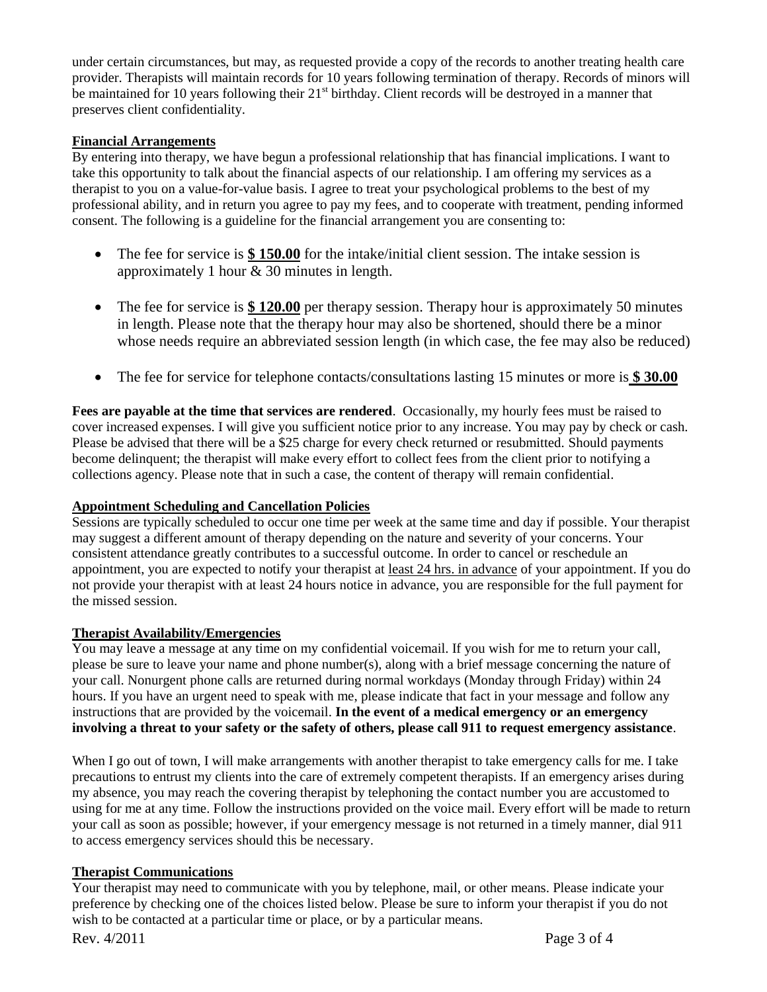under certain circumstances, but may, as requested provide a copy of the records to another treating health care provider. Therapists will maintain records for 10 years following termination of therapy. Records of minors will be maintained for 10 years following their 21<sup>st</sup> birthday. Client records will be destroyed in a manner that preserves client confidentiality.

## **Financial Arrangements**

By entering into therapy, we have begun a professional relationship that has financial implications. I want to take this opportunity to talk about the financial aspects of our relationship. I am offering my services as a therapist to you on a value-for-value basis. I agree to treat your psychological problems to the best of my professional ability, and in return you agree to pay my fees, and to cooperate with treatment, pending informed consent. The following is a guideline for the financial arrangement you are consenting to:

- The fee for service is \$150.00 for the intake/initial client session. The intake session is approximately 1 hour & 30 minutes in length.
- The fee for service is  $$ 120.00$  per therapy session. Therapy hour is approximately 50 minutes in length. Please note that the therapy hour may also be shortened, should there be a minor whose needs require an abbreviated session length (in which case, the fee may also be reduced)
- The fee for service for telephone contacts/consultations lasting 15 minutes or more is **\$ 30.00**

**Fees are payable at the time that services are rendered**. Occasionally, my hourly fees must be raised to cover increased expenses. I will give you sufficient notice prior to any increase. You may pay by check or cash. Please be advised that there will be a \$25 charge for every check returned or resubmitted. Should payments become delinquent; the therapist will make every effort to collect fees from the client prior to notifying a collections agency. Please note that in such a case, the content of therapy will remain confidential.

# **Appointment Scheduling and Cancellation Policies**

Sessions are typically scheduled to occur one time per week at the same time and day if possible. Your therapist may suggest a different amount of therapy depending on the nature and severity of your concerns. Your consistent attendance greatly contributes to a successful outcome. In order to cancel or reschedule an appointment, you are expected to notify your therapist at <u>least 24 hrs. in advance</u> of your appointment. If you do not provide your therapist with at least 24 hours notice in advance, you are responsible for the full payment for the missed session.

#### **Therapist Availability/Emergencies**

You may leave a message at any time on my confidential voicemail. If you wish for me to return your call, please be sure to leave your name and phone number(s), along with a brief message concerning the nature of your call. Nonurgent phone calls are returned during normal workdays (Monday through Friday) within 24 hours. If you have an urgent need to speak with me, please indicate that fact in your message and follow any instructions that are provided by the voicemail. **In the event of a medical emergency or an emergency involving a threat to your safety or the safety of others, please call 911 to request emergency assistance**.

When I go out of town, I will make arrangements with another therapist to take emergency calls for me. I take precautions to entrust my clients into the care of extremely competent therapists. If an emergency arises during my absence, you may reach the covering therapist by telephoning the contact number you are accustomed to using for me at any time. Follow the instructions provided on the voice mail. Every effort will be made to return your call as soon as possible; however, if your emergency message is not returned in a timely manner, dial 911 to access emergency services should this be necessary.

# **Therapist Communications**

Your therapist may need to communicate with you by telephone, mail, or other means. Please indicate your preference by checking one of the choices listed below. Please be sure to inform your therapist if you do not wish to be contacted at a particular time or place, or by a particular means.

Rev. 4/2011 Page 3 of 4